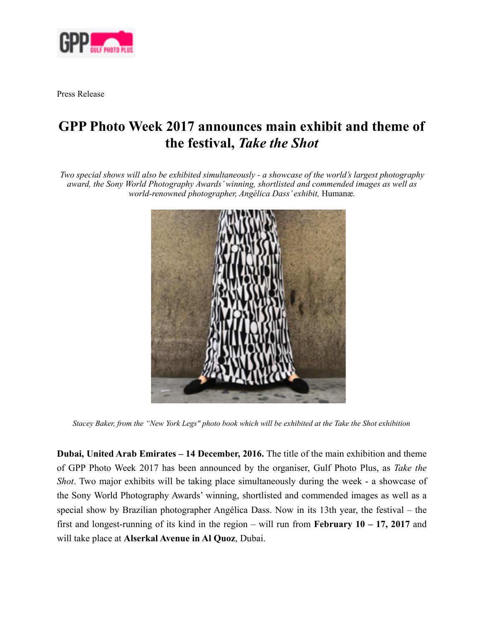

Press Release

# **GPP Photo Week 2017 announces main exhibit and theme of the festival,** *Take the Shot*

*Two special shows will also be exhibited simultaneously - a showcase of the world's largest photography award, the Sony World Photography Awards' winning, shortlisted and commended images as well as world-renowned photographer, Angélica Dass' exhibit,* Humanæ*.*



*Stacey Baker, from the "New York Legs" photo book which will be exhibited at the Take the Shot exhibition* 

**Dubai, United Arab Emirates – 14 December, 2016.** The title of the main exhibition and theme of GPP Photo Week 2017 has been announced by the organiser, Gulf Photo Plus, as *Take the Shot*. Two major exhibits will be taking place simultaneously during the week - a showcase of the Sony World Photography Awards' winning, shortlisted and commended images as well as a special show by Brazilian photographer Angélica Dass. Now in its 13th year, the festival – the first and longest-running of its kind in the region – will run from **February 10 – 17, 2017** and will take place at **Alserkal Avenue in Al Quoz**, Dubai.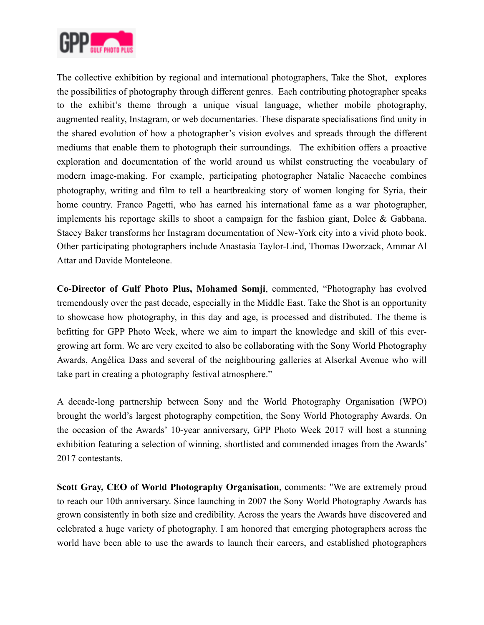

The collective exhibition by regional and international photographers, Take the Shot, explores the possibilities of photography through different genres. Each contributing photographer speaks to the exhibit's theme through a unique visual language, whether mobile photography, augmented reality, Instagram, or web documentaries. These disparate specialisations find unity in the shared evolution of how a photographer's vision evolves and spreads through the different mediums that enable them to photograph their surroundings. The exhibition offers a proactive exploration and documentation of the world around us whilst constructing the vocabulary of modern image-making. For example, participating photographer Natalie Nacacche combines photography, writing and film to tell a heartbreaking story of women longing for Syria, their home country. Franco Pagetti, who has earned his international fame as a war photographer, implements his reportage skills to shoot a campaign for the fashion giant, Dolce & Gabbana. Stacey Baker transforms her Instagram documentation of New-York city into a vivid photo book. Other participating photographers include Anastasia Taylor-Lind, Thomas Dworzack, Ammar Al Attar and Davide Monteleone.

**Co-Director of Gulf Photo Plus, Mohamed Somji**, commented, "Photography has evolved tremendously over the past decade, especially in the Middle East. Take the Shot is an opportunity to showcase how photography, in this day and age, is processed and distributed. The theme is befitting for GPP Photo Week, where we aim to impart the knowledge and skill of this evergrowing art form. We are very excited to also be collaborating with the Sony World Photography Awards, Angélica Dass and several of the neighbouring galleries at Alserkal Avenue who will take part in creating a photography festival atmosphere."

A decade-long partnership between Sony and the World Photography Organisation (WPO) brought the world's largest photography competition, the Sony World Photography Awards. On the occasion of the Awards' 10-year anniversary, GPP Photo Week 2017 will host a stunning exhibition featuring a selection of winning, shortlisted and commended images from the Awards' 2017 contestants.

**Scott Gray, CEO of World Photography Organisation**, comments: "We are extremely proud to reach our 10th anniversary. Since launching in 2007 the Sony World Photography Awards has grown consistently in both size and credibility. Across the years the Awards have discovered and celebrated a huge variety of photography. I am honored that emerging photographers across the world have been able to use the awards to launch their careers, and established photographers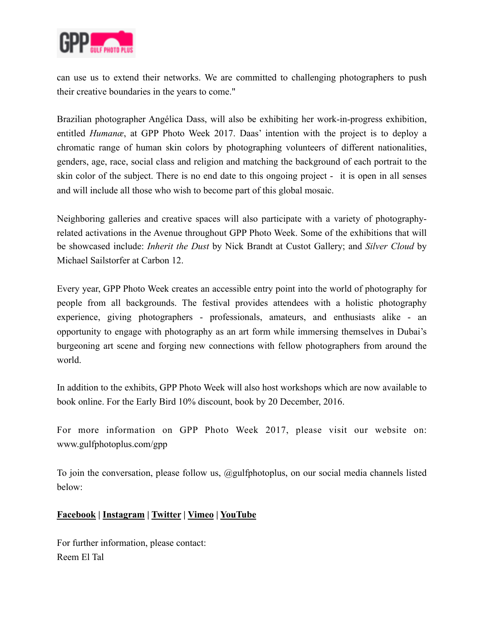

can use us to extend their networks. We are committed to challenging photographers to push their creative boundaries in the years to come."

Brazilian photographer Angélica Dass, will also be exhibiting her work-in-progress exhibition, entitled *Humanæ*, at GPP Photo Week 2017. Daas' intention with the project is to deploy a chromatic range of human skin colors by photographing volunteers of different nationalities, genders, age, race, social class and religion and matching the background of each portrait to the skin color of the subject. There is no end date to this ongoing project - it is open in all senses and will include all those who wish to become part of this global mosaic.

Neighboring galleries and creative spaces will also participate with a variety of photographyrelated activations in the Avenue throughout GPP Photo Week. Some of the exhibitions that will be showcased include: *Inherit the Dust* by Nick Brandt at Custot Gallery; and *Silver Cloud* by Michael Sailstorfer at Carbon 12.

Every year, GPP Photo Week creates an accessible entry point into the world of photography for people from all backgrounds. The festival provides attendees with a holistic photography experience, giving photographers - professionals, amateurs, and enthusiasts alike - an opportunity to engage with photography as an art form while immersing themselves in Dubai's burgeoning art scene and forging new connections with fellow photographers from around the world.

In addition to the exhibits, GPP Photo Week will also host workshops which are now available to book online. For the Early Bird 10% discount, book by 20 December, 2016.

For more information on GPP Photo Week 2017, please visit our website on: www.gulfphotoplus.com/gpp

To join the conversation, please follow us, @gulfphotoplus, on our social media channels listed below:

## **[Facebook](https://www.facebook.com/gulfphotoplus) | [Instagram](https://www.instagram.com/gulfphotoplus/) | [Twitter](https://twitter.com/gulfphotoplus) | [Vimeo](https://vimeo.com/gulfphotoplus) | [YouTube](https://www.youtube.com/channel/UCYCoA92K153YJrXxb4ycJKQ)**

For further information, please contact: Reem El Tal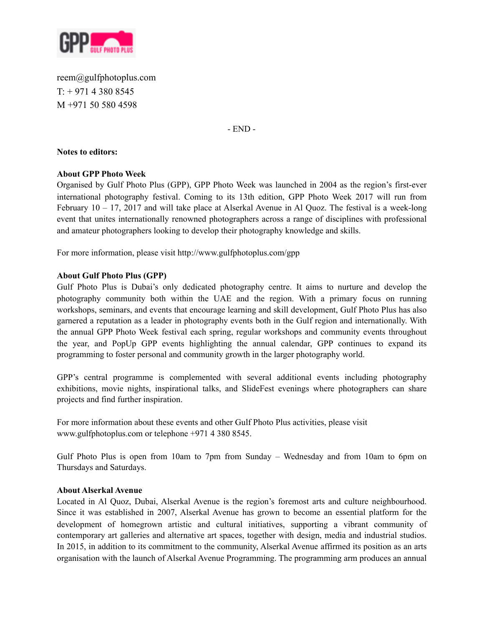

reem@gulfphotoplus.com  $T: +97143808545$ M +971 50 580 4598

- END -

### **Notes to editors:**

### **About GPP Photo Week**

Organised by Gulf Photo Plus (GPP), GPP Photo Week was launched in 2004 as the region's first-ever international photography festival. Coming to its 13th edition, GPP Photo Week 2017 will run from February 10 – 17, 2017 and will take place at Alserkal Avenue in Al Quoz. The festival is a week-long event that unites internationally renowned photographers across a range of disciplines with professional and amateur photographers looking to develop their photography knowledge and skills.

For more information, please visit http://www.gulfphotoplus.com/gpp

### **About Gulf Photo Plus (GPP)**

Gulf Photo Plus is Dubai's only dedicated photography centre. It aims to nurture and develop the photography community both within the UAE and the region. With a primary focus on running workshops, seminars, and events that encourage learning and skill development, Gulf Photo Plus has also garnered a reputation as a leader in photography events both in the Gulf region and internationally. With the annual GPP Photo Week festival each spring, regular workshops and community events throughout the year, and PopUp GPP events highlighting the annual calendar, GPP continues to expand its programming to foster personal and community growth in the larger photography world.

GPP's central programme is complemented with several additional events including photography exhibitions, movie nights, inspirational talks, and SlideFest evenings where photographers can share projects and find further inspiration.

For more information about these events and other Gulf Photo Plus activities, please visit www.gulfphotoplus.com or telephone +971 4 380 8545.

Gulf Photo Plus is open from 10am to 7pm from Sunday – Wednesday and from 10am to 6pm on Thursdays and Saturdays.

### **About Alserkal Avenue**

Located in Al Quoz, Dubai, Alserkal Avenue is the region's foremost arts and culture neighbourhood. Since it was established in 2007, Alserkal Avenue has grown to become an essential platform for the development of homegrown artistic and cultural initiatives, supporting a vibrant community of contemporary art galleries and alternative art spaces, together with design, media and industrial studios. In 2015, in addition to its commitment to the community, Alserkal Avenue affirmed its position as an arts organisation with the launch of Alserkal Avenue Programming. The programming arm produces an annual